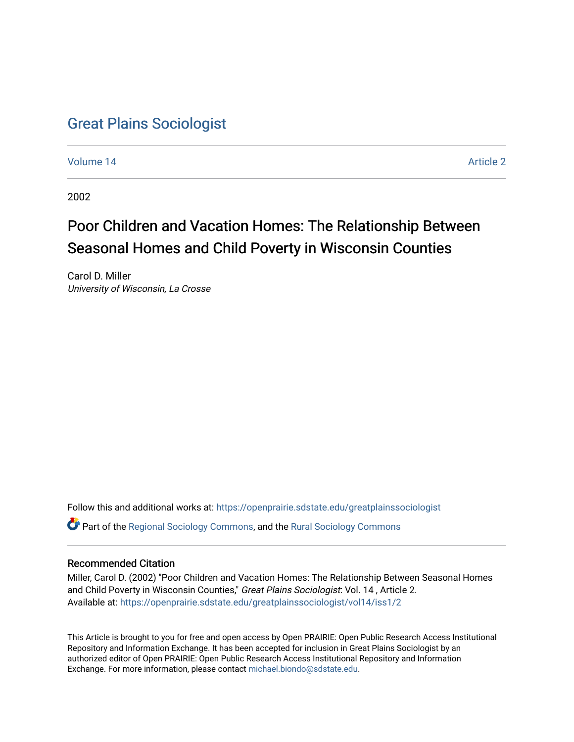## [Great Plains Sociologist](https://openprairie.sdstate.edu/greatplainssociologist)

[Volume 14](https://openprairie.sdstate.edu/greatplainssociologist/vol14) Article 2

2002

# Poor Children and Vacation Homes: The Relationship Between Seasonal Homes and Child Poverty in Wisconsin Counties

Carol D. Miller University of Wisconsin, La Crosse

Follow this and additional works at: [https://openprairie.sdstate.edu/greatplainssociologist](https://openprairie.sdstate.edu/greatplainssociologist?utm_source=openprairie.sdstate.edu%2Fgreatplainssociologist%2Fvol14%2Fiss1%2F2&utm_medium=PDF&utm_campaign=PDFCoverPages) 

Part of the [Regional Sociology Commons](http://network.bepress.com/hgg/discipline/427?utm_source=openprairie.sdstate.edu%2Fgreatplainssociologist%2Fvol14%2Fiss1%2F2&utm_medium=PDF&utm_campaign=PDFCoverPages), and the [Rural Sociology Commons](http://network.bepress.com/hgg/discipline/428?utm_source=openprairie.sdstate.edu%2Fgreatplainssociologist%2Fvol14%2Fiss1%2F2&utm_medium=PDF&utm_campaign=PDFCoverPages) 

#### Recommended Citation

Miller, Carol D. (2002) "Poor Children and Vacation Homes: The Relationship Between Seasonal Homes and Child Poverty in Wisconsin Counties," Great Plains Sociologist: Vol. 14, Article 2. Available at: [https://openprairie.sdstate.edu/greatplainssociologist/vol14/iss1/2](https://openprairie.sdstate.edu/greatplainssociologist/vol14/iss1/2?utm_source=openprairie.sdstate.edu%2Fgreatplainssociologist%2Fvol14%2Fiss1%2F2&utm_medium=PDF&utm_campaign=PDFCoverPages)

This Article is brought to you for free and open access by Open PRAIRIE: Open Public Research Access Institutional Repository and Information Exchange. It has been accepted for inclusion in Great Plains Sociologist by an authorized editor of Open PRAIRIE: Open Public Research Access Institutional Repository and Information Exchange. For more information, please contact [michael.biondo@sdstate.edu.](mailto:michael.biondo@sdstate.edu)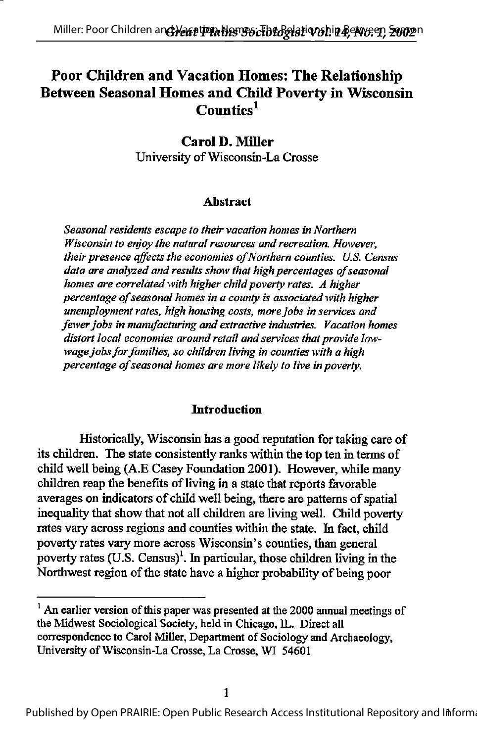## Poor Children and Vacation Homes: The Relationship Between Seasonal Homes and Child Poverty in Wisconsin Counties<sup>1</sup>

#### Carol D, Miller University of Wisconsin-La Crosse

#### Abstract

Seasonal residents escape to their vacation homes in Northern Wisconsin to enjoy the natural resources and recreation. However, their presence affects the economies of Northern counties. U.S. Census data are analyzed and results show that high percentages of seasonal homes are correlated with higher child poverty rates. A higher percentage of seasonal homes in a county is associated with higher unemployment rates, high housing costs, morejobs in services and fewer jobs in manufacturing and extractive industries. Vacation homes distort local economies around retail and services that provide lowwage jobs for families, so children living in counties with a high percentage of seasonal homes are more likely to live in poverty.

#### Introduction

Historically, Wisconsin has a good reputation for taking care of its children. The state consistently ranks within the top ten in terms of child well being (A.E Casey Foundation 2001). However, while many children reap the benefits of living in a state that reports favorable averages on indicators of child well being, there are patterns of spatial inequality that show that not all children are living well. Child poverty rates vary across regions and counties within the state. In fact, child poverty rates vary more across Wisconsin's counties, than general poverty rates  $(U.S.$  Census)<sup>1</sup>. In particular, those children living in the Northwest region of the state have a higher probability of being poor

 $^1$  An earlier version of this paper was presented at the 2000 annual meetings of the Midwest Sociological Society, held in Chicago, IL. Direct all correspondence to Carol Miller, Department of Sociology and Archaeology, University ofWisconsin-La Crosse, La Crosse, WI 54601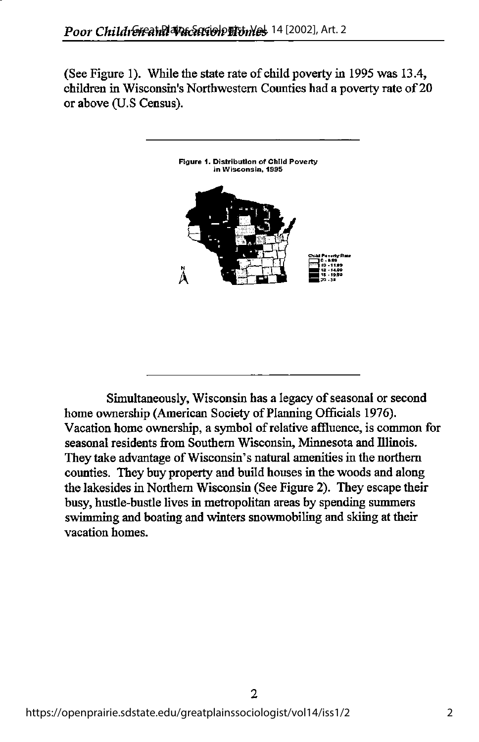(See Figure 1). While the state rate of child poverty in 1995 was  $13.4$ , children in Wisconsin's Northwestern Counties had a poverty rate of 20 or above (U.S Census).



Simultaneously, Wisconsin has a legacy of seasonal or second home ownership (American Society of Planning Officials 1976). Vacation home ownership, a symbol of relative affluence, is common for seasonal residents from Southern Wisconsin, Minnesota and Illinois. They take advantage of Wisconsin's natural amenities in the northern counties. They buy property and build houses in the woods and along the lakesides in Northern Wisconsin (See Figure 2). They escape their busy, hustle-bustle lives in metropolitan areas by spending summers swimming and boating and winters snowmobiling and skiing at their vacation homes.

 $\overline{2}$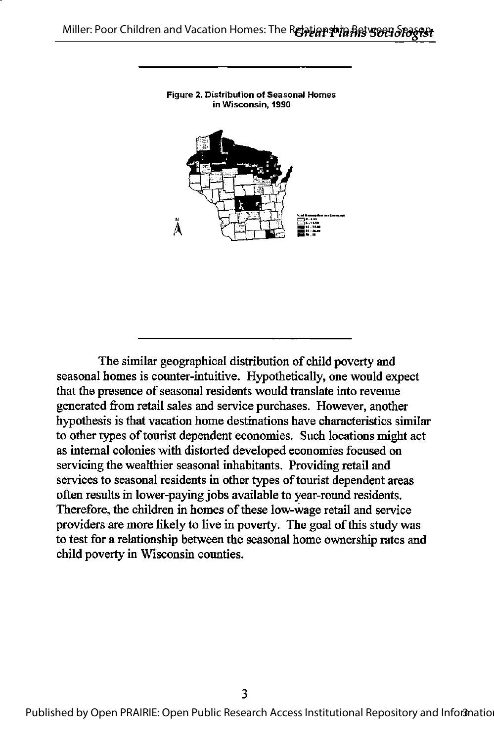

The similar geographical distribution of child poverty and seasonal homes is counter-intuitive. Hypothetically, one would expect that the presence of seasonal residents would translate into revenue generated from retail sales and service purchases. However, another hypothesis is diat vacation home destinations have characteristics similar to other types of tourist dependent economies. Such locations might act as internal colonies with distorted developed economies focused on servicing the wealthier seasonal inhabitants. Providing retail and services to seasonal residents in other types of tourist dependent areas often results in lower-paying jobs available to year-round residents. Therefore, the children in homes of these low-wage retail and service providers are more likely to live in poverty. The goal of this study was to test for a relationship between the seasonal home ownership rates and child poverty in Wisconsin counties.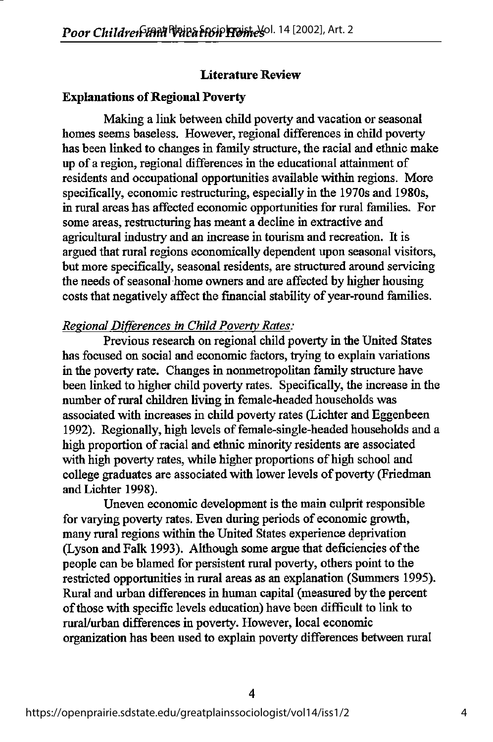#### Literature Review

#### **Explanations of Regional Poverty**

Making a link between child poverty and vacation or seasonal homes seems baseless. However, regional differences in child poverty has been linked to changes in family structure, the racial and ethnic make up of a region, regional differences in the educational attainment of residents and occupational opportunities available within regions. More specifically, economic restructuring, especially in the 1970s and 1980s, in rural areas has affected economic opportunities for rural families. For some areas, restructuring has meant a decline in extractive and agricultural industry and an increase in tourism and recreation. It is argued that rural regions economically dependent upon seasonal visitors, but more specifically, seasonal residents, are structured around servicing the needs of seasonal home owners and are affected by higher housing costs that negatively affect the financial stability of year-round families.

#### Regional Differences in Child Poverty Rates:

Previous research on regional child poverty in the United States has focused on social and economic factors, trying to explain variations in the poverty rate. Changes in nonmetropolitan family structure have been linked to higher child poverty rates. Specifically, the increase in the number of rural children living in female-headed households was associated with increases in child poverty rates (Lichter and Eggenbeen 1992). Regionally, high levels of female-single-headed households and a high proportion of racial and ethnic minority residents are associated with high poverty rates, while higher proportions of high school and college graduates are associated with lower levels of poverty (Friedman and Lichter 1998).

Uneven economic development is the main culprit responsible for varying poverty rates. Even during periods of economic growth, many rural regions within the United States experience deprivation (Lyson and Falk 1993). Although some argue that deficiencies of the people can be blamed for persistent rural poverty, others point to the restricted opportunities in rural areas as an explanation (Summers 1995). Rural and urban differences in human capital (measured by the percent ofthose with specific levels education) have been difficult to link to rural/urban differences in poverty. However, local economic organization has been used to explain poverty differences between rural

 $\overline{4}$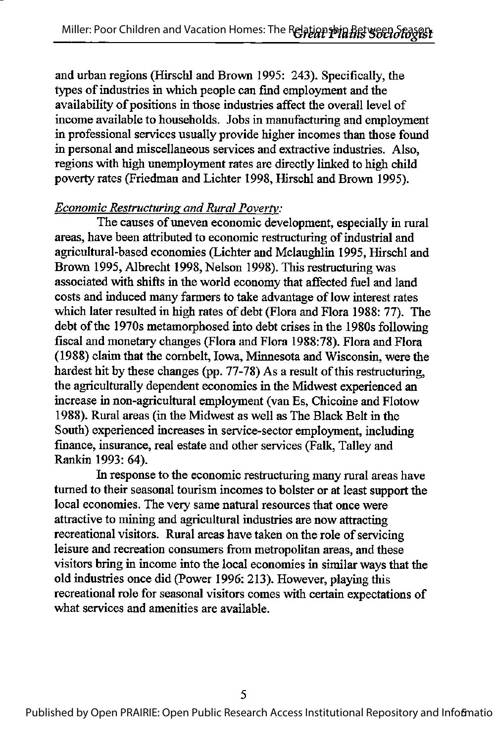and urban regions (Hirschl and Brown 1995: 243). Specifically, the types of industries in which people can find employment and the availability of positions in those industries affect the overall level of income available to households. Jobs in manufacturing and employment in professional services usually provide higher incomes than those found in personal and miscellaneous services and extractive industries. Also, regions with high unemployment rates are directly linked to high child poverty rates (Friedman and Lichter 1998, Hirschl and Brown 1995).

#### Economic Restructuring and Rural Poverty:

The causes of uneven economic development, especially in rural areas, have been attributed to economic restructuring of industrial and agricultural-based economies (Lichter and Mclaughlin 1995, Hirschl and Brown 1995, Albrecht 1998, Nelson 1998). This restructuring was associated with shifts in the world economy that affected fuel and land costs and induced many farmers to take advantage of low interest rates which later resulted in high rates of debt (Flora and Flora 1988: 77). The debt of the 1970s metamorphosed into debt crises in the 1980s following fiscal and monetary changes (Flora and Flora 1988:78). Flora and Flora (1988) claim that the combelt, Iowa, Minnesota and Wisconsin, were the hardest hit by these changes (pp. 77-78) As a result of this restructuring, the agriculturally dependent economies in the Midwest experienced an increase in non-agricultural employment (van Es, Chicoine and Flotow 1988). Rural areas (in the Midwest as well as The Black Belt in the South) experienced increases in service-sector employment, including finance, insurance, real estate and other services (Falk, Talley and Rankin 1993: 64).

In response to the economic restructuring many rural areas have turned to their seasonal tourism incomes to bolster or at least support the local economies. The very same natural resources that once were attractive to mining and agricultural industries are now attracting recreational visitors. Rural areas have taken on the role of servicing leisure and recreation consumers from metropolitan areas, and these visitors bring in income into the local economies in similar ways that the old industries once did (Power 1996: 213). However, playing this recreational role for seasonal visitors comes with certain expectations of what services and amenities are available.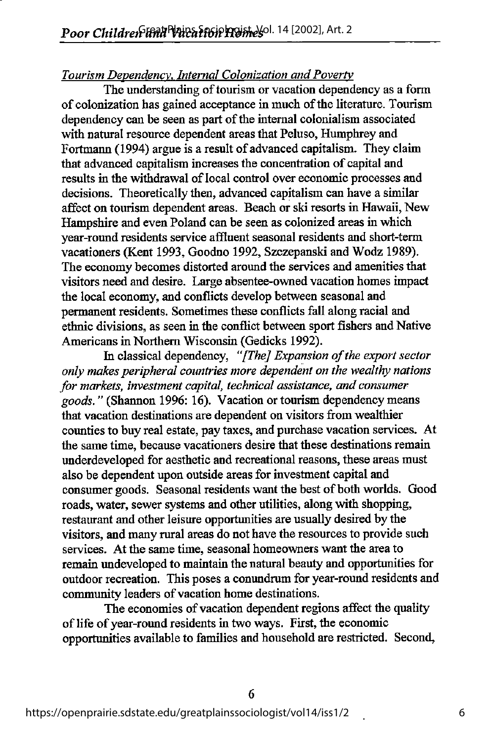## Tourism Dependency. Internal Colonization and Poverty

The understanding of tourism or vacation dependency as a form of colonization has gained acceptance in much ofthe literature. Tourism dependency can be seen as part of the internal colonialism associated with natural resource dependent areas that Peluso, Humphrey and Fortmann (1994) argue is a result of advanced capitalism. They claim that advanced capitalism increases the concentration of capital and results in the withdrawal of local control over economic processes and decisions. Theoretically then, advanced capitalism can have a similar affect on tourism dependent areas. Beach or ski resorts in Hawaii, New Hampshire and even Poland can be seen as colonized areas in which year-round residents service affluent seasonal residents and short-term vacationers (Kent 1993, Goodno 1992, Szczepanski and Wodz 1989). The economy becomes distorted around the services and amenities that visitors need and desire. Large absentee-owned vacation homes impact the local economy, and conflicts develop between seasonal and permanent residents. Sometimes these conflicts fall along racial and ethnic divisions, as seen in die conflict between sport fishers and Native Americans in Northern Wisconsin (Gedicks 1992).

In classical dependency, "[The] Expansion of the export sector only makes peripheral countries more dependent on the wealthy nations for markets, investment capital, technical assistance, and consumer goods." (Shannon 1996: 16). Vacation or tourism dependency means that vacation destinations are dependent on visitors from wealthier counties to buy real estate, pay taxes, and purchase vacation services. At the same time, because vacationers desire that these destinations remain underdeveloped for aesthetic and recreational reasons, these areas must also be dependent upon outside areas for investment capital and consumer goods. Seasonal residents want the best of both worlds. Good roads, water, sewer systems and other utihties, along with shopping, restaurant and other leisure opportunities are usually desired by the visitors, and many rural areas do not have the resources to provide such services. At the same time, seasonal homeowners want the area to remain undeveloped to maintain the natural beauty and opportunities for outdoor recreation. This poses a conundrum for year-round residents and community leaders of vacation home destinations.

The economies of vacation dependent regions affect the quality of life of year-round residents in two ways. First, the economic opportunities available to families and household are restricted. Second,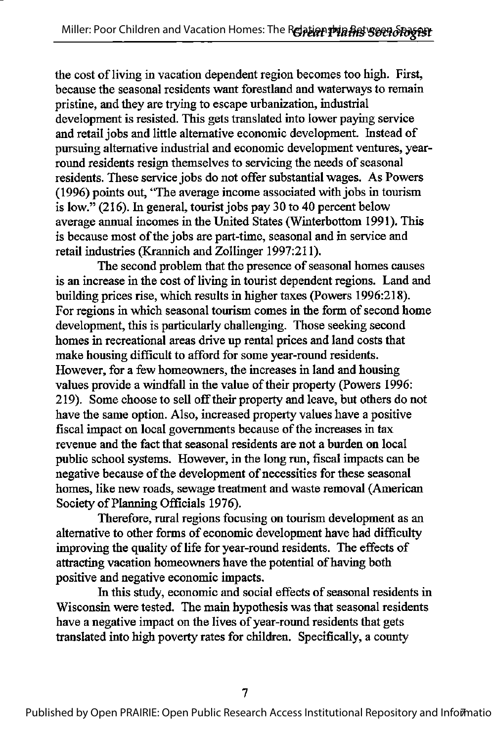the cost of living in vacation dependent region becomes too high. First, because the seasonal residents want forestland and waterways to remain pristine, and they are trying to escape urbanization, industrial development is resisted. This gets translated into lower paying service and retail jobs and little alternative economic development. Instead of pursuing alternative industrial and economic development ventures, yearround residents resign themselves to servicing the needs of seasonal residents. These service jobs do not offer substantial wages. As Powers (1996) points out, "The average income associated with jobs in tourism is low." (216). In general, tourist jobs pay 30 to 40 percent below average annual incomes in the United States (Winterbottom 1991). This is because most of the jobs are part-time, seasonal and in service and retail industries (Krannich and Zollinger 1997:211).

The second problem that the presence of seasonal homes causes is an increase in the cost of living in tourist dependent regions. Land and building prices rise, which results in higher taxes (Powers 1996:218). For regions in which seasonal tourism comes in the form of second home development, this is particularly challenging. Those seeking second homes in recreational areas drive up rental prices and land costs that make housing difficult to afford for some year-round residents. However, for a few homeowners, the increases in land and housing values provide a windfall in the value of their property (Powers 1996: 219). Some choose to sell offtheir property and leave, but odiers do not have the same option. Also, increased property values have a positive fiscal impact on local governments because of the increases in tax revenue and the fact that seasonal residents are not a burden on local public school systems. However, in die long run, fiscal impacts can be negative because of the development of necessities for these seasonal homes, like new roads, sewage treatment and waste removal (American Society of Planning Officials 1976).

Therefore, rural regions focusing on tourism development as an alternative to other forms of economic development have had difficulty improving the quality of life for year-round residents. The effects of attracting vacation homeowners have the potential of having both positive and negative economic impacts.

In this study, economic and social effects of seasonal residents in Wisconsin were tested. The main hypothesis was that seasonal residents have a negative impact on the lives of year-round residents that gets translated into high poverty rates for children. Specifically, a county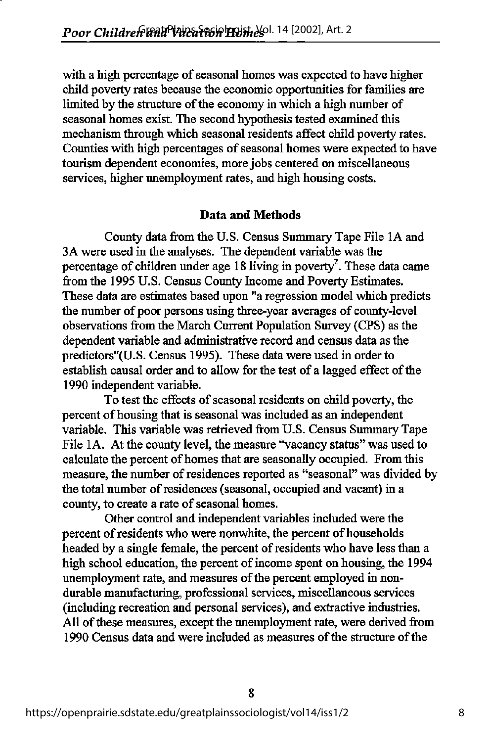with a high percentage of seasonal homes was expected to have higher child poverty rates because the economic opportunities for families are limited by the structure of the economy in which a high number of seasonal homes exist. The second hypothesis tested examined this mechanism through which seasonal residents affect child poverty rates. Counties with high percentages of seasonal homes were expected to have tourism dependent economies, more jobs centered on miscellaneous services, higher unemployment rates, and high housing costs.

#### Data and Methods

County data from the U.S. Census Summary Tape File lA and 3A were used in the analyses. The dependent variable was the percentage of children under age 18 living in poverty<sup>2</sup>. These data came from the 1995 U.S. Census County Income and Poverty Estimates. These data are estimates based upon "a regression model which predicts the number of poor persons using three-year averages of county-level observations from the March Current Population Survey (CPS) as the dependent variable and administrative record and census data as the predictors"(U.S. Census 1995). These data were used in order to establish causal order and to allow for the test of a lagged effect of the 1990 independent variable.

To test the effects of seasonal residents on child poverty, the percent of housing that is seasonal was included as an independent variable. This variable was retrieved from U.S. Census Summary Tape File 1A. At the county level, the measure "vacancy status" was used to calculate the percent of homes that are seasonally occupied. From this measure, the number of residences reported as "seasonal" was divided by the total number of residences (seasonal, occupied and vacant) in a county, to create a rate of seasonal homes.

Other control and independent variables included were the percent of residents who were nonwhite, the percent of households headed by a single female, the percent of residents who have less than a high school education, the percent of income spent on housing, the 1994 unemployment rate, and measures of the percent employed in nondurable manufacturing, professional services, miscellaneous services (including recreation and personal services), and extractive industries. All of these measures, except the unemployment rate, were derived from 1990 Census data and were included as measures of the structure of the

8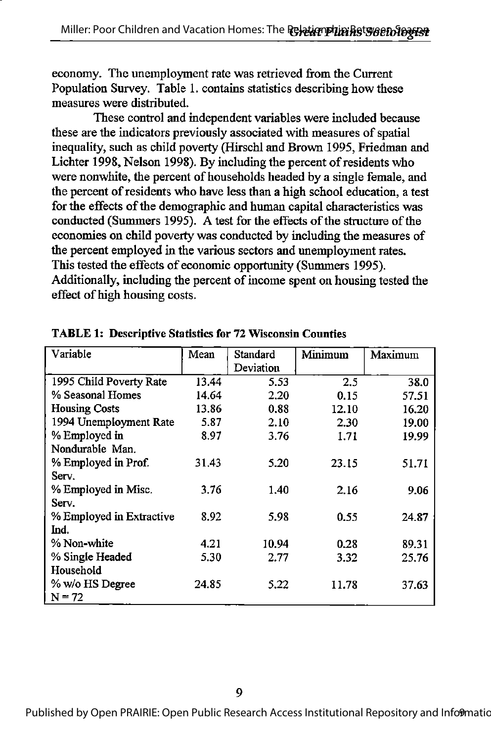economy. The unemployment rate was retrieved from the Current Population Survey. Table 1. contains statistics describing how these measures were distributed.

These control and independent variables were included because these are the indicators previously associated with measures of spatial inequality, such as child poverty (Hirschl and Brown 1995, Friedman and Lichter 1998, Nelson 1998). By including the percent of residents who were nonwhite, the percent of households headed by a single female, and the percent of residents who have less than a high school education, a test for the effects of the demographic and human capital characteristics was conducted (Summers 1995). A test for the effects of the structure of the economies on child poverty was conducted by including the measures of the percent employed in the various sectors and imemployment rates. This tested the effects of economic opportunity (Summers 1995). Additionally, including the percent of income spent on housing tested the effect of high housing costs.

| Variable                 | Mean  | Standard  | Minimum | Maximum |
|--------------------------|-------|-----------|---------|---------|
|                          |       | Deviation |         |         |
| 1995 Child Poverty Rate  | 13.44 | 5.53      | 2.5     | 38.0    |
| % Seasonal Homes         | 14.64 | 2.20      | 0.15    | 57.51   |
| <b>Housing Costs</b>     | 13.86 | 0.88      | 12.10   | 16.20   |
| 1994 Unemployment Rate   | 5.87  | 2.10      | 2.30    | 19.00   |
| % Employed in            | 8.97  | 3.76      | 1.71    | 19.99   |
| Nondurable Man.          |       |           |         |         |
| % Employed in Prof.      | 31.43 | 5.20      | 23.15   | 51.71   |
| Serv.                    |       |           |         |         |
| % Employed in Misc.      | 3.76  | 1.40      | 2.16    | 9.06    |
| Serv.                    |       |           |         |         |
| % Employed in Extractive | 8.92  | 5.98      | 0.55    | 24.87   |
| Ind.                     |       |           |         |         |
| % Non-white              | 4.21  | 10.94     | 0.28    | 89.31   |
| % Single Headed          | 5.30  | 2.77      | 3.32    | 25.76   |
| Household                |       |           |         |         |
| % w/o HS Degree          | 24.85 | 5.22      | 11.78   | 37.63   |
| $N = 72$                 |       |           |         |         |

TABLE 1: Descriptive Statistics for 72 Wisconsin Counties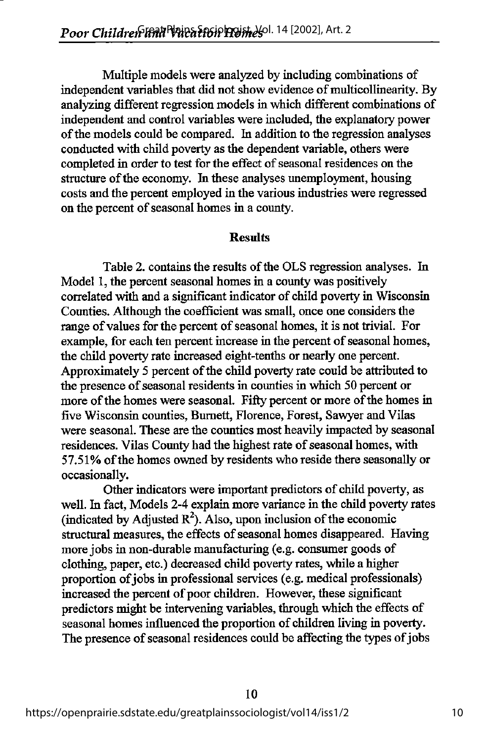Multiple models were analyzed by including combinations of independent variables that did not show evidence of multicollinearity. By analyzing different regression models in which different combinations of independent and control variables were included, the explanatory power of the models could be compared. In addition to the regression analyses conducted with child poverty as the dependent variable, others were completed in order to test for the effect of seasonal residences on the structure of the economy. In these analyses unemployment, housing costs and the percent employed in the various industries were regressed on the percent of seasonal homes in a county.

#### **Results**

Table 2. contains the results of the OLS regression analyses. In Model 1, the percent seasonal homes in a county was positively correlated with and a significant indicator of child poverty in Wisconsin Counties. Although the coefficient was small, once one considers the range of values for the percent of seasonal homes, it is not trivial. For example, for each ten percent increase in the percent of seasonal homes, the child poverty rate increased eight-tenths or nearly one percent. Approximately 5 percent of the child poverty rate could be attributed to the presence of seasonal residents in counties in which 50 percent or more of the homes were seasonal. Fifty percent or more of the homes in five Wisconsin counties, Burnett, Florence, Forest, Sawyer and Vilas were seasonal. These are the counties most heavily impacted by seasonal residences. Vilas County had the highest rate of seasonal homes, with 57.51% of the homes owned by residents who reside there seasonally or occasionally.

Other indicators were important predictors of child poverty, as well. In fact, Models 2-4 explain more variance in the child poverty rates (indicated by Adjusted  $R^2$ ). Also, upon inclusion of the economic structural measures, the effects of seasonal homes disappeared. Having more jobs in non-durable manufacturing (e.g. consumer goods of clothing, paper, etc.) decreased child poverty rates, while a higher proportion of jobs in professional services (e.g. medical professionals) increased the percent of poor children. However, these significant predictors might be intervening variables, through which the effects of seasonal homes influenced the proportion of children living in poverty. The presence of seasonal residences could be affecting the types of jobs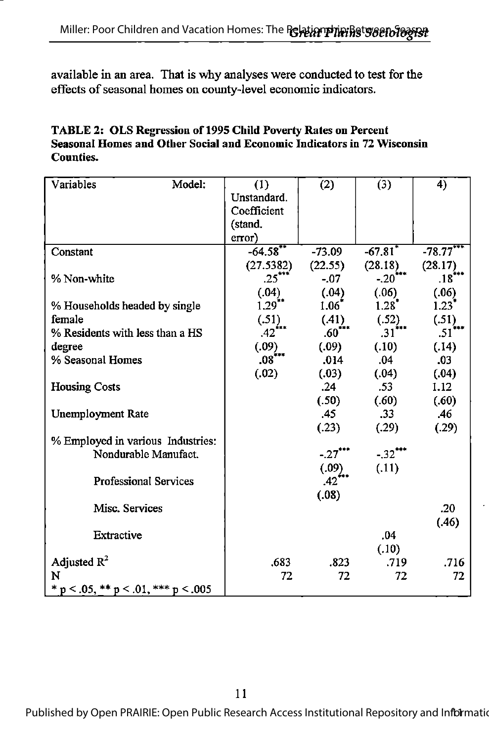available in an area. That is why analyses were conducted to test for the effects of seasonal homes on county-level economic indicators.

| <b>TABLE 2: OLS Regression of 1995 Child Poverty Rates on Percent</b>   |
|-------------------------------------------------------------------------|
| Seasonal Homes and Other Social and Economic Indicators in 72 Wisconsin |
| Counties.                                                               |

| Variables                                   | Model: | (1)<br>Unstandard.<br>Coefficient<br>(stand.<br>error) | (2)                 | (3)                   | 4)                  |
|---------------------------------------------|--------|--------------------------------------------------------|---------------------|-----------------------|---------------------|
| Constant                                    |        | $-64.58$ **                                            | $-73.09$            | $-67.81$ <sup>*</sup> | $-78.77$            |
|                                             |        | (27.5382)                                              | (22.55)             | (28.18)               | (28.17)             |
| % Non-white                                 |        | $.25^{\circ}$                                          | $-07$               | $-.20$                | $.18***$            |
|                                             |        | (.04)                                                  | (.04)               | (.06)                 | (.06)               |
| % Households headed by single               |        | $1.29$ **                                              | 1.06                | $1.28$ <sup>*</sup>   | $1.23$ <sup>*</sup> |
| female                                      |        | (.51)                                                  | $(.41)$<br>$.60***$ | (.52)                 | (.51)               |
| % Residents with less than a HS             |        | $.42$ <sup>***</sup>                                   |                     | $.31$ <sup>i++</sup>  | $.51***$            |
| degree                                      |        | (.09)                                                  | (.09)               | (.10)                 | (.14)               |
| % Seasonal Homes                            |        | $.08***$                                               | .014                | .04                   | .03                 |
|                                             |        | (.02)                                                  | (.03)               | (.04)                 | (.04)               |
| <b>Housing Costs</b>                        |        |                                                        | .24                 | .53                   | 1.12                |
|                                             |        |                                                        | (.50)               | (.60)                 | (.60)               |
| <b>Unemployment Rate</b>                    |        |                                                        | .45                 | .33 <sub>1</sub>      | .46                 |
|                                             |        |                                                        | (.23)               | (.29)                 | (.29)               |
| % Employed in various Industries:           |        |                                                        |                     |                       |                     |
| Nondurable Manufact.                        |        |                                                        | $-.27$ ***          | $-32$ ***             |                     |
|                                             |        |                                                        | (.09)               | (.11)                 |                     |
| <b>Professional Services</b>                |        |                                                        | .42                 |                       |                     |
|                                             |        |                                                        | (.08)               |                       |                     |
| Misc. Services                              |        |                                                        |                     |                       | .20                 |
|                                             |        |                                                        |                     |                       | (.46)               |
| Extractive                                  |        |                                                        |                     | .04                   |                     |
|                                             |        |                                                        |                     | (.10)                 |                     |
| Adjusted $R^2$                              |        | .683                                                   | .823                | .719                  | .716                |
| N                                           |        | 72                                                     | 72                  | 72                    | 72                  |
| * $p < .05$ , ** $p < .01$ , *** $p < .005$ |        |                                                        |                     |                       |                     |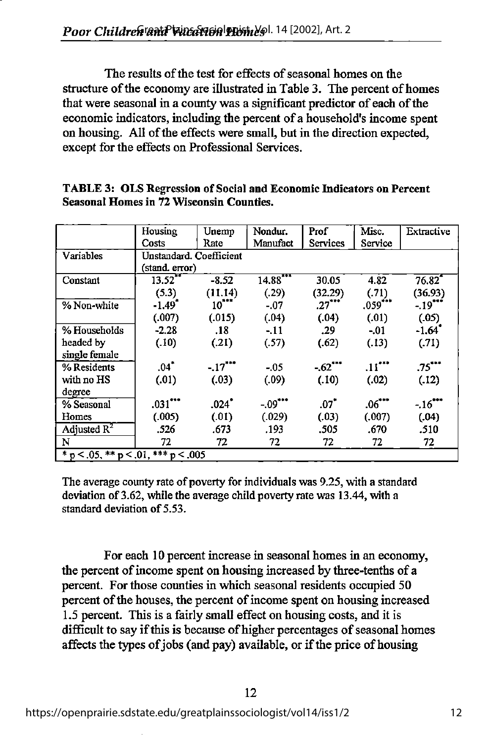The results of the test for effects of seasonal homes on the structure of the economy are illustrated in Table 3. The percent of homes that were seasonal in a county was a significant predictor of each of the economic indicators, including the percent of a household's income spent on housing. All of the effects were small, but in the direction expected, except for the effects on Professional Services.

|                                     | Housing                 | Unemp               | Nondur.    | Prof                 | Misc.          | Extractive            |  |
|-------------------------------------|-------------------------|---------------------|------------|----------------------|----------------|-----------------------|--|
|                                     | Costs                   | Rate                | Manufact   | <b>Services</b>      | Service        |                       |  |
| Variables                           | Unstandard. Coefficient |                     |            |                      |                |                       |  |
|                                     | (stand. error)          |                     |            |                      |                |                       |  |
| Constant                            | 13.52                   | $-8.52$             | $14.88***$ | 30.05                | 4.82           | 76.82                 |  |
|                                     | (5.3)                   | (11.14)             | (.29)      | (32.29)              | (.71)          | (36.93)               |  |
| % Non-white                         | $-1.49$ <sup>*</sup>    | $10^{11}$           | $-.07$     | $.27$ <sup>***</sup> | $.059***$      | $-19$ <sup>**</sup>   |  |
|                                     | (.007)                  | (.015)              | (.04)      | (.04)                | (.01)          | (05)                  |  |
| % Households                        | $-2.28$                 | .18                 | $-11$      | .29                  | $-0.01$        | $-1.64$               |  |
| headed by                           | (.10)                   | (.21)               | (.57)      | (.62)                | (.13)          | (.71)                 |  |
| single female                       |                         |                     |            |                      |                |                       |  |
| % Residents                         | $.04$ <sup>*</sup>      | $-17$ ***           | $-0.05$    | $-62$                | $.11$ $\cdots$ | .75                   |  |
| with no HS                          | (.01)                   | (.03)               | (.09)      | (.10)                | (.02)          | (.12)                 |  |
| degree                              |                         |                     |            |                      |                |                       |  |
| % Seasonal                          | $.031***$               | $.024$ <sup>*</sup> | $-09$ ***  | .07"                 | $.06***$       | $-.16$ <sup>***</sup> |  |
| Homes                               | (.005)                  | (.01)               | (.029)     | (.03)                | (.007)         | (.04)                 |  |
| Adjusted $R^2$                      | .526                    | .673                | .193       | .505                 | .670           | .510                  |  |
| N                                   | 72                      | 72                  | 72         | 72                   | 72             | 72                    |  |
| * p < .05, ** p < .01, *** p < .005 |                         |                     |            |                      |                |                       |  |

TABLE 3: OLS Regression of Social and Economic Indicators on Percent Seasonal Homes in 72 Wisconsin Counties.

The average county rate of poverty for individuals was 9.25, with a standard deviation of 3.62, while the average child poverty rate was 13.44, with a standard deviation of 5.53.

For each 10 percent increase in seasonal homes in an economy, the percent of income spent on housing increased by three-tenths of a percent. For those counties in which seasonal residents occupied 50 percent of the houses, the percent of income spent on housing increased 1.5 percent. This is a fairly small effect on housing costs, and it is difficult to say if this is because of higher percentages of seasonal homes affects the types of jobs (and pay) available, or if the price of housing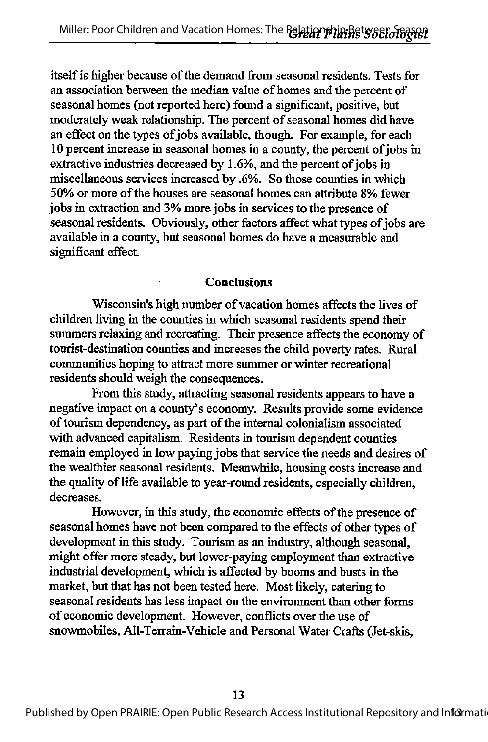itself is higher because of the demand from seasonal residents. Tests for an association between the median value of homes and the percent of seasonal homes (not reported here) found a significant, positive, but moderately weak relationship. The percent of seasonal homes did have an effect on the types of jobs available, though. For example, for each 10 percent increase in seasonal homes in a county, the percent of jobs in extractive industries decreased by 1.6%, and the percent of jobs in miscellaneous services increased by .6%. So those counties in which 50% or more ofthe houses are seasonal homes can attribute 8% fewer jobs in extraction and 3% more jobs in services to the presence of seasonal residents. Obviously, other factors affect what types of jobs are available in a county, but seasonal homes do have a measurable and significant effect.

#### Conclusions

Wisconsin's high number of vacation homes affects the lives of children living in the counties in which seasonal residents spend their summers relaxing and recreating. Their presence affects the economy of tourist-destination counties and increases the child poverty rates. Rural communities hoping to attract more summer or winter recreational residents should weigh the consequences.

From this study, attracting seasonal residents appears to have a negative impact on a county's economy. Results provide some evidence of tourism dependency, as part of the internal colonialism associated with advanced capitalism. Residents in tourism dependent counties remain employed in low paying jobs that service the needs and desires of the wealthier seasonal residents. Meanwhile, housing costs increase and the quality of life available to year-round residents, especially children, decreases.

However, in this study, the economic effects of the presence of seasonal homes have not been compared to the effects of other types of development in this study. Tourism as an industry, although seasonal, might offer more steady, but lower-paying employment than extractive industrial development, which is affected by booms and busts in the market, but that has not been tested here. Most likely, catering to seasonal residents has less impact on the environment than other forms of economic development. However, conflicts over the use of snowmobiles, All-Terrain-Vehicle and Personal Water Crafts (Jet-skis,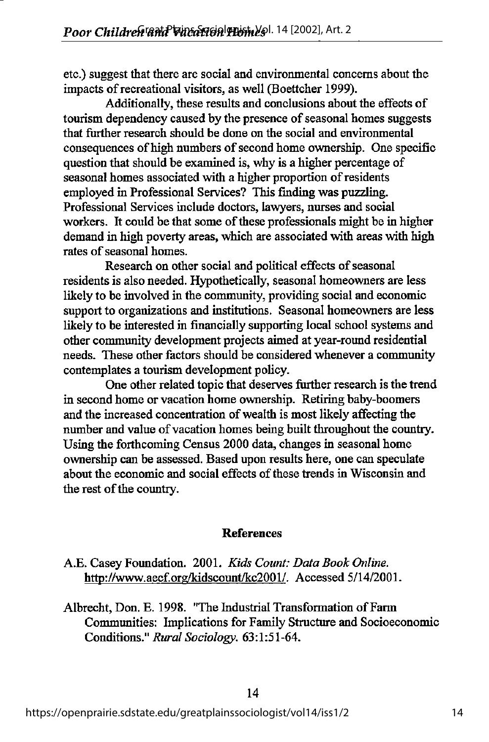etc.) suggest that there are social and environmental concerns about the impacts of recreational visitors, as well (Boettcher 1999).

Additionally, these results and conclusions about the effects of tourism dependency caused by the presence of seasonal homes suggests that further research should be done on the social and environmental consequences of high numbers of second home ownership. One specific question that should be examined is, why is a higher percentage of seasonal homes associated with a higher proportion of residents employed in Professional Services? This finding was puzzling. Professional Services include doctors, lawyers, nurses and social workers. It could be that some of these professionals might be in higher demand in high poverty areas, which are associated with areas with high rates of seasonal homes.

Research on other social and political effects of seasonal residents is also needed. Hypothetically, seasonal homeowners are less likely to be involved in the community, providing social and economic support to organizations and institutions. Seasonal homeovmers are less likely to be interested in financially supporting local school systems and other community development projects aimed at year-round residential needs. These other factors should be considered whenever a community contemplates a tourism development policy.

One other related topic that deserves further research is the trend in second home or vacation home ownership. Retiring baby-boomers and the increased concentration of wealth is most likely affecting the number and value of vacation homes being built throughout the country. Using the forthcoming Census 2000 data, changes in seasonal home ownership can be assessed. Based upon results here, one can speculate about the economic and social effects of these trends in Wisconsin and the rest of the country.

### References

- A.E. Casey Foundation. 2001. Kids Count: Data Book Online. http://www.aecf.org/kidscount/kc2001/. Accessed 5/14/2001.
- Albrecht, Don. E. 1998. "The Industrial Transformation of Farm Communities: Implications for Family Structure and Socioeconomic Conditions." Rural Sociology. 63:1:51-64.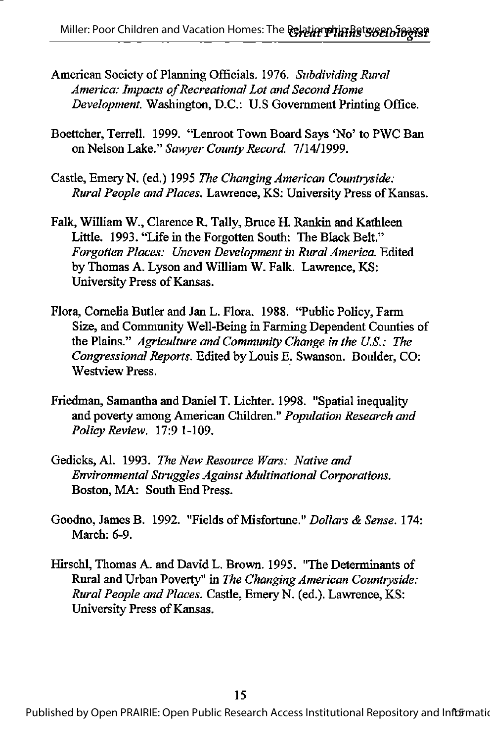- American Society of Planning Officials. 1976. Subdividing Rural America: Impacts of Recreational Lot and Second Home Development. Washington, D.C.: U.S Government Printing Office.
- Boettcher, Terrell. 1999. "Lenroot Town Board Says \*No'to PWC Ban on Nelson Lake." Sawyer County Record. 7/14/1999.
- Castle, Emery N. (ed.) 1995 The Changing American Countiyside: Rural People and Places. Lawrence, KS: University Press of Kansas.
- Falk, William W., Clarence R. Tally, Bruce H. Rankin and Kathleen Little. 1993. "Life in the Forgotten South: The Black Belt." Forgotten Places: Uneven Development in Rural America. Edited by Thomas A. Lyson and William W. Falk. Lawrence, KS: University Press of Kansas.
- Flora, Cornelia Butler and Jan L. Flora. 1988. "Public Policy, Farm Size, and Community Well-Being in Farming Dependent Counties of the Plains." Agriculture and Community Change in the U.S.: The Congressional Reports. Edited by Louis E. Swanson. Boulder, CO: Westview Press.
- Friedman, Samantha and Daniel T. Lichter. 1998. "Spatial inequality and poverty among American Children." Population Research and Policy Review. 17:9 1-109.
- Gedicks, Al. 1993. The New Resource Wars: Native and Environmental Struggles Against Multinational Corporations. Boston, MA: South End Press.
- Goodno, James B. 1992. "Fields of Misfortune." Dollars & Sense. 174: March: 6-9.
- Hirschl, Thomas A. and David L. Brown. 1995. "The Determinants of Rural and Urban Poverty" in The Changing American Countryside: Rural People and Places. Castle, Emery N. (ed.). Lawrence, KS: University Press of Kansas.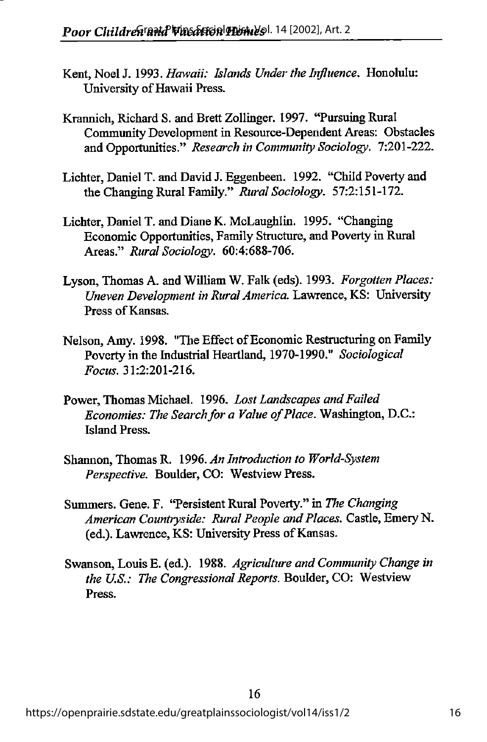- Kent, Noel J. 1993. Hawaii: Islands Under the Influence. Honolulu: University of Hawaii Press.
- Krannich, Richard S. and Brett Zollinger. 1997. \*Tursuing Rural Community Development in Resource-Dependent Areas: Obstacles and Opportunities." Research in Community Sociology. 7:201-222.
- Lichter, Daniel T. and David J. Eggenbeen. 1992. "Child Poverty and the Changing Rural Family." Rural Sociology. 57:2:151-172.
- Lichter, Daniel T. and Diane K. McLaughlin. 1995. "Changing Economic Opportunities,Family Structure, and Poverty in Rural Areas." Rural Sociology. 60:4:688-706.
- Lyson, Thomas A. and William W. Falk (eds). 1993. Forgotten Places: Uneven Development in Rural America. Lawrence, KS: University Press of Kansas.
- Nelson, Amy. 1998. "The Effect of Economic Restructuring on Family Poverty in the Industrial Heartland, 1970-1990." Sociological Focus. 31:2:201-216.
- Power, Thomas Michael. 1996. Lost Landscapes and Failed Economies: The Search for a Value of Place. Washington, D.C.: Island Press.
- Shannon, Thomas R. 1996. An Introduction to World-System Perspective. Boulder, CO: Westview Press.
- Summers. Gene. F. 'Tersistent Rural Poverty." in The Changing American Countryside: Rural People and Places. Castle, Emery N. (ed.). Lawrence, KS: University Press of Kansas.
- Swanson, Louis E. (ed.). 1988. Agriculture and Community Change in the U.S.: The Congressional Reports. Boulder, CO: Westview Press.